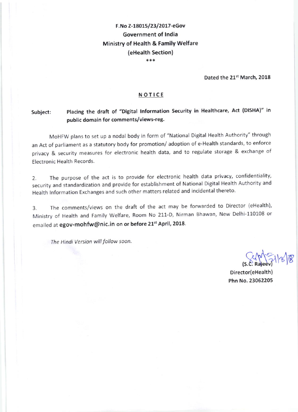# F.No Z-18015/23/2017-eGov Government of lndia Ministry of Health & Family welfare (eHealth Section)

r'r\*

Dated the 21<sup>st</sup> March, 2018

#### NOTICE

# Subject: Placing the draft of "Digital Information Security in Healthcare, Act (DISHA)" in public domain for comments/views-reg.

MoHFW plans to set up a nodal body in form of "National Digital Health Authority" through an Act of parliament as a statutory body for promotion/ adoption of e-Health standards, to enforce privacy & security measures for electronic health data, and to regulate storage & exchange of Electronic Health Records.

2. The purpose of the act is to provide for electronic health data privacy, confidentiality, security and standardization and provide for establishment of National Digital Health Authority and Health Information Exchanges and such other matters related and incidental thereto.

3. The comments/views on the draft of the act may be forwarded to Director (eHealth), Ministry of Health and Family Welfare, Room No 211-D, Nirman Bhawan, New Delhi-110108 or emailed at egov-mohfw@nic.in on or before 21st April, 2018.

The Hindi Version will follow soon.

 $(S.C. \text{Rajeev})$  $\mathcal{C}[\mathcal{B}]$ 

Director(eHealth) Phn No. 23062205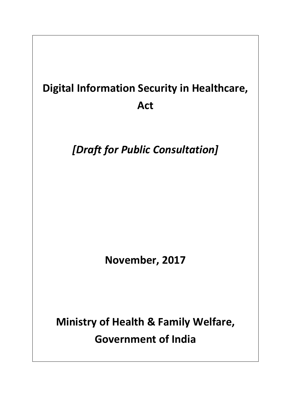# **Digital Information Security in Healthcare, Act**

*[Draft for Public Consultation]* 

**November, 2017**

**Ministry of Health & Family Welfare, Government of India**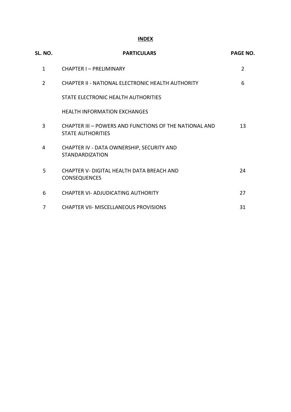# **INDEX**

| SL. NO.        | <b>PARTICULARS</b>                                                                 | <b>PAGE NO.</b> |
|----------------|------------------------------------------------------------------------------------|-----------------|
| $\mathbf{1}$   | CHAPTER I - PRELIMINARY                                                            | $\overline{2}$  |
| $\overline{2}$ | CHAPTER II - NATIONAL ELECTRONIC HEALTH AUTHORITY                                  | 6               |
|                | STATE ELECTRONIC HEALTH AUTHORITIES                                                |                 |
|                | <b>HEALTH INFORMATION EXCHANGES</b>                                                |                 |
| 3              | CHAPTER III - POWERS AND FUNCTIONS OF THE NATIONAL AND<br><b>STATE AUTHORITIES</b> | 13              |
| 4              | CHAPTER IV - DATA OWNERSHIP, SECURITY AND<br><b>STANDARDIZATION</b>                |                 |
| 5              | CHAPTER V- DIGITAL HEALTH DATA BREACH AND<br><b>CONSEQUENCES</b>                   | 24              |
| 6              | <b>CHAPTER VI- ADJUDICATING AUTHORITY</b>                                          | 27              |
| 7              | <b>CHAPTER VII- MISCELLANEOUS PROVISIONS</b>                                       | 31              |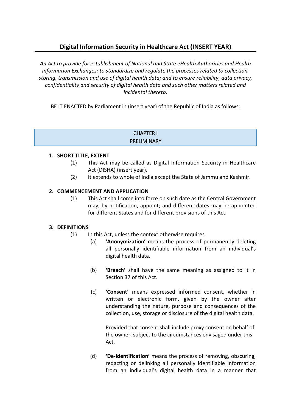# **Digital Information Security in Healthcare Act (INSERT YEAR)**

*An Act to provide for establishment of National and State eHealth Authorities and Health Information Exchanges; to standardize and regulate the processes related to collection, storing, transmission and use of digital health data; and to ensure reliability, data privacy, confidentiality and security of digital health data and such other matters related and incidental thereto.*

BE IT ENACTED by Parliament in (insert year) of the Republic of India as follows:

#### CHAPTER I PRELIMINARY

#### **1. SHORT TITLE, EXTENT**

- (1) This Act may be called as Digital Information Security in Healthcare Act (DISHA) (insert year).
- (2) It extends to whole of India except the State of Jammu and Kashmir.

#### **2. COMMENCEMENT AND APPLICATION**

(1) This Act shall come into force on such date as the Central Government may, by notification, appoint; and different dates may be appointed for different States and for different provisions of this Act.

#### **3. DEFINITIONS**

- (1) In this Act, unless the context otherwise requires,
	- (a) **'Anonymization'** means the process of permanently deleting all personally identifiable information from an individual's digital health data.
	- (b) **'Breach'** shall have the same meaning as assigned to it in Section 37 of this Act.
	- (c) **'Consent'** means expressed informed consent, whether in written or electronic form, given by the owner after understanding the nature, purpose and consequences of the collection, use, storage or disclosure of the digital health data.

Provided that consent shall include proxy consent on behalf of the owner, subject to the circumstances envisaged under this Act.

(d) **'De-identification'** means the process of removing, obscuring, redacting or delinking all personally identifiable information from an individual's digital health data in a manner that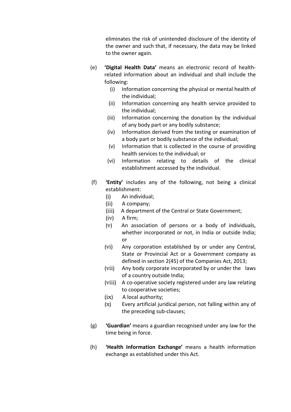eliminates the risk of unintended disclosure of the identity of the owner and such that, if necessary, the data may be linked to the owner again.

- (e) **'Digital Health Data'** means an electronic record of healthrelated information about an individual and shall include the following:
	- (i) Information concerning the physical or mental health of the individual;
	- (ii) Information concerning any health service provided to the individual;
	- (iii) Information concerning the donation by the individual of any body part or any bodily substance;
	- (iv) Information derived from the testing or examination of a body part or bodily substance of the individual;
	- (v) Information that is collected in the course of providing health services to the individual; or
	- (vi) Information relating to details of the clinical establishment accessed by the individual.
- (f) **'Entity'** includes any of the following, not being a clinical establishment:
	- (i) An individual;
	- (ii)A company;
	- (iii)A department of the Central or State Government;
	- (iv)A firm;
	- (v) An association of persons or a body of individuals, whether incorporated or not, in India or outside India; or
	- (vi) Any corporation established by or under any Central, State or Provincial Act or a Government company as defined in section 2(45) of the Companies Act, 2013;
	- (vii) Any body corporate incorporated by or under the laws of a country outside India;
	- (viii) A co-operative society registered under any law relating to cooperative societies;
	- (ix) A local authority;
	- (x) Every artificial juridical person, not falling within any of the preceding sub-clauses;
- (g) **'Guardian'** means a guardian recognised under any law for the time being in force.
- (h) **'Health Information Exchange'** means a health information exchange as established under this Act.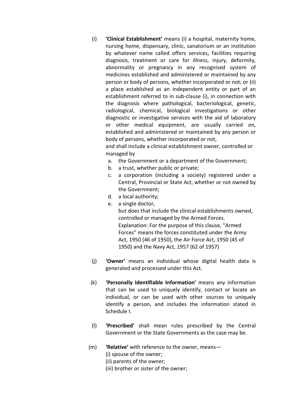(i) **'Clinical Establishment'** means (i) a hospital, maternity home, nursing home, dispensary, clinic, sanatorium or an institution by whatever name called offers services, facilities requiring diagnosis, treatment or care for illness, injury, deformity, abnormality or pregnancy in any recognised system of medicines established and administered or maintained by any person or body of persons, whether incorporated or not; or (ii) a place established as an independent entity or part of an establishment referred to in sub-clause (i), in connection with the diagnosis where pathological, bacteriological, genetic, radiological, chemical, biological investigations or other diagnostic or investigative services with the aid of laboratory or other medical equipment, are usually carried on, established and administered or maintained by any person or body of persons, whether incorporated or not,

and shall include a clinical establishment owner, controlled or managed by

- a. the Government or a department of the Government;
- b. a trust, whether public or private;
- c. a corporation (including a society) registered under a Central, Provincial or State Act, whether or not owned by the Government;
- d. a local authority;
- e. a single doctor,

but does that include the clinical establishments owned, controlled or managed by the Armed Forces. Explanation: For the purpose of this clause, "Armed Forces" means the forces constituted under the Army Act, 1950 (46 of 1950), the Air Force Act, 1950 (45 of 1950) and the Navy Act, 1957 (62 of 1957)

- (j) **'Owner'** means an individual whose digital health data is generated and processed under this Act.
- (k) **'Personally Identifiable Information'** means any information that can be used to uniquely identify, contact or locate an individual, or can be used with other sources to uniquely identify a person, and includes the information stated in Schedule I.
- (l) **'Prescribed'** shall mean rules prescribed by the Central Government or the State Governments as the case may be.
- (m) **'Relative'** with reference to the owner, means—
	- (i) spouse of the owner;
	- (ii) parents of the owner;
	- (iii) brother or sister of the owner;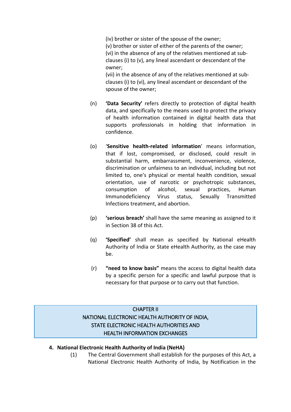(iv) brother or sister of the spouse of the owner; (v) brother or sister of either of the parents of the owner; (vi) in the absence of any of the relatives mentioned at subclauses (i) to (v), any lineal ascendant or descendant of the owner;

(vii) in the absence of any of the relatives mentioned at subclauses (i) to (vi), any lineal ascendant or descendant of the spouse of the owner;

- (n) **'Data Security'** refers directly to protection of digital health data, and specifically to the means used to protect the privacy of health information contained in digital health data that supports professionals in holding that information in confidence.
- (o) '**Sensitive health-related information**' means information, that if lost, compromised, or disclosed, could result in substantial harm, embarrassment, inconvenience, violence, discrimination or unfairness to an individual, including but not limited to, one's physical or mental health condition, sexual orientation, use of narcotic or psychotropic substances, consumption of alcohol, sexual practices, Human Immunodeficiency Virus status, Sexually Transmitted Infections treatment, and abortion.
- (p) **'serious breach'** shall have the same meaning as assigned to it in Section 38 of this Act.
- (q) **'Specified'** shall mean as specified by National eHealth Authority of India or State eHealth Authority, as the case may be.
- (r) **"need to know basis"** means the access to digital health data by a specific person for a specific and lawful purpose that is necessary for that purpose or to carry out that function.

# CHAPTER II NATIONAL ELECTRONIC HEALTH AUTHORITY OF INDIA, STATE ELECTRONIC HEALTH AUTHORITIES AND HEALTH INFORMATION EXCHANGES

#### **4. National Electronic Health Authority of India (NeHA)**

(1) The Central Government shall establish for the purposes of this Act, a National Electronic Health Authority of India, by Notification in the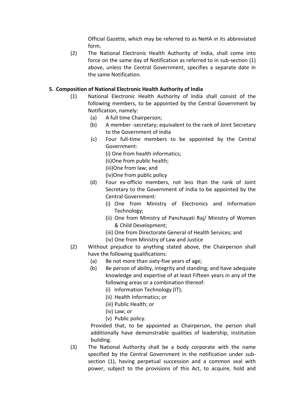Official Gazette, which may be referred to as NeHA in its abbreviated form.

(2) The National Electronic Health Authority of India, shall come into force on the same day of Notification as referred to in sub-section (1) above, unless the Central Government, specifies a separate date in the same Notification.

#### **5. Composition of National Electronic Health Authority of India**

- (1) National Electronic Health Authority of India shall consist of the following members, to be appointed by the Central Government by Notification, namely:
	- (a) A full time Chairperson;
	- (b) A member -secretary; equivalent to the rank of Joint Secretary to the Government of India
	- (c) Four full-time members to be appointed by the Central Government:

(i) One from health informatics;

(ii)One from public health;

(iii)One from law; and

(iv)One from public policy

- (d) Four ex-officio members, not less than the rank of Joint Secretary to the Government of India to be appointed by the Central Government:
	- (i) One from Ministry of Electronics and Information Technology;
	- (ii) One from Ministry of Panchayati Raj/ Ministry of Women & Child Development;
	- (iii) One from Directorate General of Health Services; and
	- (iv) One from Ministry of Law and Justice
- (2) Without prejudice to anything stated above, the Chairperson shall have the following qualifications:
	- (a) Be not more than sixty-five years of age;
	- (b) Be person of ability, integrity and standing; and have adequate knowledge and expertise of at least Fifteen years in any of the following areas or a combination thereof:
		- (i) Information Technology (IT);
		- (ii) Health Informatics; or
		- (iii) Public Health; or
		- (iv) Law; or
		- (v) Public policy.

Provided that, to be appointed as Chairperson, the person shall additionally have demonstrable qualities of leadership, institution building.

(3) The National Authority shall be a body corporate with the name specified by the Central Government in the notification under subsection (1), having perpetual succession and a common seal with power, subject to the provisions of this Act, to acquire, hold and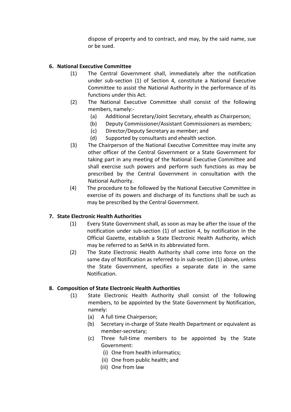dispose of property and to contract, and may, by the said name, sue or be sued.

# **6. National Executive Committee**

- (1) The Central Government shall, immediately after the notification under sub-section (1) of Section 4, constitute a National Executive Committee to assist the National Authority in the performance of its functions under this Act.
- (2) The National Executive Committee shall consist of the following members, namely:-
	- (a) Additional Secretary/Joint Secretary, ehealth as Chairperson;
	- (b) Deputy Commissioner/Assistant Commissioners as members;
	- (c) Director/Deputy Secretary as member; and
	- (d) Supported by consultants and ehealth section.
- (3) The Chairperson of the National Executive Committee may invite any other officer of the Central Government or a State Government for taking part in any meeting of the National Executive Committee and shall exercise such powers and perform such functions as may be prescribed by the Central Government in consultation with the National Authority.
- (4) The procedure to be followed by the National Executive Committee in exercise of its powers and discharge of its functions shall be such as may be prescribed by the Central Government.

#### **7. State Electronic Health Authorities**

- (1) Every State Government shall, as soon as may be after the issue of the notification under sub-section (1) of section 4, by notification in the Official Gazette, establish a State Electronic Health Authority, which may be referred to as SeHA in its abbreviated form.
- (2) The State Electronic Health Authority shall come into force on the same day of Notification as referred to in sub-section (1) above, unless the State Government, specifies a separate date in the same Notification.

#### **8. Composition of State Electronic Health Authorities**

- (1) State Electronic Health Authority shall consist of the following members, to be appointed by the State Government by Notification, namely:
	- (a) A full time Chairperson;
	- (b) Secretary in-charge of State Health Department or equivalent as member-secretary;
	- (c) Three full-time members to be appointed by the State Government:
		- (i) One from health informatics;
		- (ii) One from public health; and
		- (iii) One from law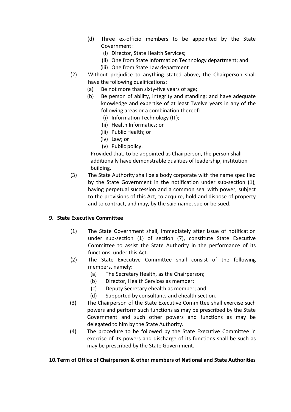- (d) Three ex-officio members to be appointed by the State Government:
	- (i) Director, State Health Services;
	- (ii) One from State Information Technology department; and
	- (iii) One from State Law department
- (2) Without prejudice to anything stated above, the Chairperson shall have the following qualifications:
	- (a) Be not more than sixty-five years of age;
	- (b) Be person of ability, integrity and standing; and have adequate knowledge and expertise of at least Twelve years in any of the following areas or a combination thereof:
		- (i) Information Technology (IT);
		- (ii) Health Informatics; or
		- (iii) Public Health; or
		- (iv) Law; or
		- (v) Public policy.

Provided that, to be appointed as Chairperson, the person shall additionally have demonstrable qualities of leadership, institution building.

(3) The State Authority shall be a body corporate with the name specified by the State Government in the notification under sub-section (1), having perpetual succession and a common seal with power, subject to the provisions of this Act, to acquire, hold and dispose of property and to contract, and may, by the said name, sue or be sued.

#### **9. State Executive Committee**

- (1) The State Government shall, immediately after issue of notification under sub-section (1) of section (7), constitute State Executive Committee to assist the State Authority in the performance of its functions, under this Act.
- (2) The State Executive Committee shall consist of the following members, namely:—
	- (a) The Secretary Health, as the Chairperson;
	- (b) Director, Health Services as member;
	- (c) Deputy Secretary ehealth as member; and
	- (d) Supported by consultants and ehealth section.
- (3) The Chairperson of the State Executive Committee shall exercise such powers and perform such functions as may be prescribed by the State Government and such other powers and functions as may be delegated to him by the State Authority.
- (4) The procedure to be followed by the State Executive Committee in exercise of its powers and discharge of its functions shall be such as may be prescribed by the State Government.

#### **10.Term of Office of Chairperson & other members of National and State Authorities**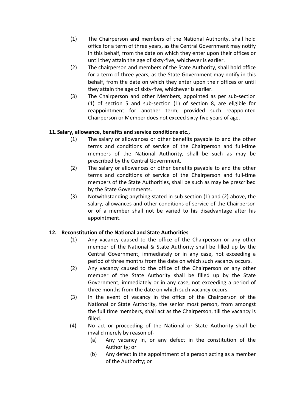- (1) The Chairperson and members of the National Authority, shall hold office for a term of three years, as the Central Government may notify in this behalf, from the date on which they enter upon their offices or until they attain the age of sixty-five, whichever is earlier.
- (2) The chairperson and members of the State Authority, shall hold office for a term of three years, as the State Government may notify in this behalf, from the date on which they enter upon their offices or until they attain the age of sixty-five, whichever is earlier.
- (3) The Chairperson and other Members, appointed as per sub-section (1) of section 5 and sub-section (1) of section 8, are eligible for reappointment for another term; provided such reappointed Chairperson or Member does not exceed sixty-five years of age.

#### **11.Salary, allowance, benefits and service conditions etc.,**

- (1) The salary or allowances or other benefits payable to and the other terms and conditions of service of the Chairperson and full-time members of the National Authority, shall be such as may be prescribed by the Central Government.
- (2) The salary or allowances or other benefits payable to and the other terms and conditions of service of the Chairperson and full-time members of the State Authorities, shall be such as may be prescribed by the State Governments.
- (3) Notwithstanding anything stated in sub-section (1) and (2) above, the salary, allowances and other conditions of service of the Chairperson or of a member shall not be varied to his disadvantage after his appointment.

#### **12. Reconstitution of the National and State Authorities**

- (1) Any vacancy caused to the office of the Chairperson or any other member of the National & State Authority shall be filled up by the Central Government, immediately or in any case, not exceeding a period of three months from the date on which such vacancy occurs.
- (2) Any vacancy caused to the office of the Chairperson or any other member of the State Authority shall be filled up by the State Government, immediately or in any case, not exceeding a period of three months from the date on which such vacancy occurs.
- (3) In the event of vacancy in the office of the Chairperson of the National or State Authority, the senior most person, from amongst the full time members, shall act as the Chairperson, till the vacancy is filled.
- (4) No act or proceeding of the National or State Authority shall be invalid merely by reason of-
	- (a) Any vacancy in, or any defect in the constitution of the Authority; or
	- (b) Any defect in the appointment of a person acting as a member of the Authority; or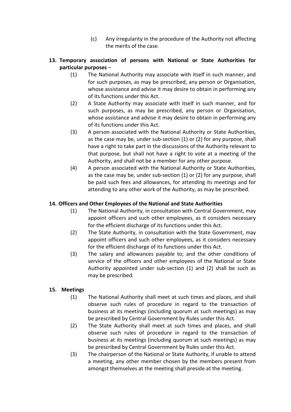(c) Any irregularity in the procedure of the Authority not affecting the merits of the case.

# **13. Temporary association of persons with National or State Authorities for particular purposes** –

- (1) The National Authority may associate with itself in such manner, and for such purposes, as may be prescribed, any person or Organisation, whose assistance and advise it may desire to obtain in performing any of its functions under this Act.
- (2) A State Authority may associate with itself in such manner, and for such purposes, as may be prescribed, any person or Organisation, whose assistance and advise it may desire to obtain in performing any of its functions under this Act.
- (3) A person associated with the National Authority or State Authorities, as the case may be, under sub-section (1) or (2) for any purpose, shall have a right to take part in the discussions of the Authority relevant to that purpose, but shall not have a right to vote at a meeting of the Authority, and shall not be a member for any other purpose.
- (4) A person associated with the National Authority or State Authorities, as the case may be, under sub-section (1) or (2) for any purpose, shall be paid such fees and allowances, for attending its meetings and for attending to any other work of the Authority, as may be prescribed.

# **14. Officers and Other Employees of the National and State Authorities**

- (1) The National Authority, in consultation with Central Government, may appoint officers and such other employees, as it considers necessary for the efficient discharge of its functions under this Act.
- (2) The State Authority, in consultation with the State Government, may appoint officers and such other employees, as it considers necessary for the efficient discharge of its functions under this Act.
- (3) The salary and allowances payable to; and the other conditions of service of the officers and other employees of the National or State Authority appointed under sub-section (1) and (2) shall be such as may be prescribed.

# **15. Meetings**

- (1) The National Authority shall meet at such times and places, and shall observe such rules of procedure in regard to the transaction of business at its meetings (including quorum at such meetings) as may be prescribed by Central Government by Rules under this Act.
- (2) The State Authority shall meet at such times and places, and shall observe such rules of procedure in regard to the transaction of business at its meetings (including quorum at such meetings) as may be prescribed by Central Government by Rules under this Act.
- (3) The chairperson of the National or State Authority, if unable to attend a meeting, any other member chosen by the members present from amongst themselves at the meeting shall preside at the meeting.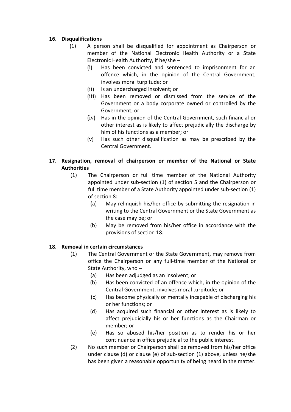#### **16. Disqualifications**

- (1) A person shall be disqualified for appointment as Chairperson or member of the National Electronic Health Authority or a State Electronic Health Authority, if he/she –
	- (i) Has been convicted and sentenced to imprisonment for an offence which, in the opinion of the Central Government, involves moral turpitude; or
	- (ii) Is an undercharged insolvent; or
	- (iii) Has been removed or dismissed from the service of the Government or a body corporate owned or controlled by the Government; or
	- (iv) Has in the opinion of the Central Government, such financial or other interest as is likely to affect prejudicially the discharge by him of his functions as a member; or
	- (v) Has such other disqualification as may be prescribed by the Central Government.

#### **17. Resignation, removal of chairperson or member of the National or State Authorities**

- (1) The Chairperson or full time member of the National Authority appointed under sub-section (1) of section 5 and the Chairperson or full time member of a State Authority appointed under sub-section (1) of section 8:
	- (a) May relinquish his/her office by submitting the resignation in writing to the Central Government or the State Government as the case may be; or
	- (b) May be removed from his/her office in accordance with the provisions of section 18.

#### **18. Removal in certain circumstances**

- (1) The Central Government or the State Government, may remove from office the Chairperson or any full-time member of the National or State Authority, who –
	- (a) Has been adjudged as an insolvent; or
	- (b) Has been convicted of an offence which, in the opinion of the Central Government, involves moral turpitude; or
	- (c) Has become physically or mentally incapable of discharging his or her functions; or
	- (d) Has acquired such financial or other interest as is likely to affect prejudicially his or her functions as the Chairman or member; or
	- (e) Has so abused his/her position as to render his or her continuance in office prejudicial to the public interest.
- (2) No such member or Chairperson shall be removed from his/her office under clause (d) or clause (e) of sub-section (1) above, unless he/she has been given a reasonable opportunity of being heard in the matter.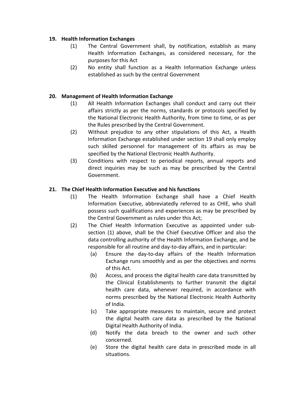#### **19. Health Information Exchanges**

- (1) The Central Government shall, by notification, establish as many Health Information Exchanges, as considered necessary, for the purposes for this Act
- (2) No entity shall function as a Health Information Exchange unless established as such by the central Government

# **20. Management of Health Information Exchange**

- (1) All Health Information Exchanges shall conduct and carry out their affairs strictly as per the norms, standards or protocols specified by the National Electronic Health Authority, from time to time, or as per the Rules prescribed by the Central Government.
- (2) Without prejudice to any other stipulations of this Act, a Health Information Exchange established under section 19 shall only employ such skilled personnel for management of its affairs as may be specified by the National Electronic Health Authority.
- (3) Conditions with respect to periodical reports, annual reports and direct inquiries may be such as may be prescribed by the Central Government.

# **21. The Chief Health Information Executive and his functions**

- (1) The Health Information Exchange shall have a Chief Health Information Executive, abbreviatedly referred to as CHIE, who shall possess such qualifications and experiences as may be prescribed by the Central Government as rules under this Act;
- (2) The Chief Health Information Executive as appointed under subsection (1) above, shall be the Chief Executive Officer and also the data controlling authority of the Health Information Exchange, and be responsible for all routine and day-to-day affairs, and in particular:
	- (a) Ensure the day-to-day affairs of the Health Information Exchange runs smoothly and as per the objectives and norms of this Act.
	- (b) Access, and process the digital health care data transmitted by the Clinical Establishments to further transmit the digital health care data, whenever required, in accordance with norms prescribed by the National Electronic Health Authority of India.
	- (c) Take appropriate measures to maintain, secure and protect the digital health care data as prescribed by the National Digital Health Authority of India.
	- (d) Notify the data breach to the owner and such other concerned.
	- (e) Store the digital health care data in prescribed mode in all situations.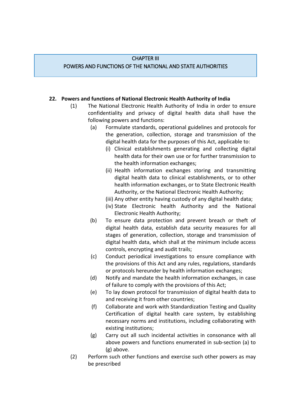#### CHAPTER III

#### POWERS AND FUNCTIONS OF THE NATIONAL AND STATE AUTHORITIES

#### **22. Powers and functions of National Electronic Health Authority of India**

- (1) The National Electronic Health Authority of India in order to ensure confidentiality and privacy of digital health data shall have the following powers and functions:
	- (a) Formulate standards, operational guidelines and protocols for the generation, collection, storage and transmission of the digital health data for the purposes of this Act, applicable to:
		- (i) Clinical establishments generating and collecting digital health data for their own use or for further transmission to the health information exchanges;
		- (ii) Health information exchanges storing and transmitting digital health data to clinical establishments, or to other health information exchanges, or to State Electronic Health Authority, or the National Electronic Health Authority;
		- (iii) Any other entity having custody of any digital health data;
		- (iv) State Electronic health Authority and the National Electronic Health Authority;
	- (b) To ensure data protection and prevent breach or theft of digital health data, establish data security measures for all stages of generation, collection, storage and transmission of digital health data, which shall at the minimum include access controls, encrypting and audit trails;
	- (c) Conduct periodical investigations to ensure compliance with the provisions of this Act and any rules, regulations, standards or protocols hereunder by health information exchanges;
	- (d) Notify and mandate the health information exchanges, in case of failure to comply with the provisions of this Act;
	- (e) To lay down protocol for transmission of digital health data to and receiving it from other countries;
	- (f) Collaborate and work with Standardization Testing and Quality Certification of digital health care system, by establishing necessary norms and institutions, including collaborating with existing institutions;
	- (g) Carry out all such incidental activities in consonance with all above powers and functions enumerated in sub-section (a) to (g) above.
- (2) Perform such other functions and exercise such other powers as may be prescribed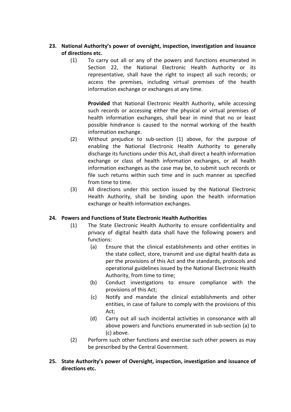### **23. National Authority's power of oversight, inspection, investigation and issuance of directions etc.**

(1) To carry out all or any of the powers and functions enumerated in Section 22, the National Electronic Health Authority or its representative, shall have the right to inspect all such records; or access the premises, including virtual premises of the health information exchange or exchanges at any time.

**Provided** that National Electronic Health Authority, while accessing such records or accessing either the physical or virtual premises of health information exchanges, shall bear in mind that no or least possible hindrance is caused to the normal working of the health information exchange.

- (2) Without prejudice to sub-section (1) above, for the purpose of enabling the National Electronic Health Authority to generally discharge its functions under this Act, shall direct a health information exchange or class of health information exchanges, or all health information exchanges as the case may be, to submit such records or file such returns within such time and in such manner as specified from time to time.
- (3) All directions under this section issued by the National Electronic Health Authority, shall be binding upon the health information exchange or health information exchanges.

#### **24. Powers and Functions of State Electronic Health Authorities**

- (1) The State Electronic Health Authority to ensure confidentiality and privacy of digital health data shall have the following powers and functions:
	- (a) Ensure that the clinical establishments and other entities in the state collect, store, transmit and use digital health data as per the provisions of this Act and the standards, protocols and operational guidelines issued by the National Electronic Health Authority, from time to time;
	- (b) Conduct investigations to ensure compliance with the provisions of this Act;
	- (c) Notify and mandate the clinical establishments and other entities, in case of failure to comply with the provisions of this Act;
	- (d) Carry out all such incidental activities in consonance with all above powers and functions enumerated in sub-section (a) to (c) above.
- (2) Perform such other functions and exercise such other powers as may be prescribed by the Central Government.
- **25. State Authority's power of Oversight, inspection, investigation and issuance of directions etc.**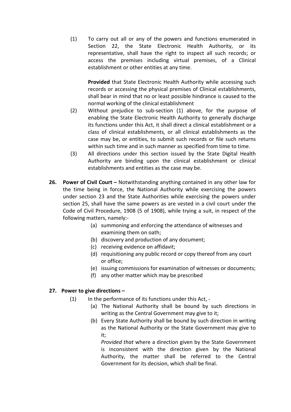(1) To carry out all or any of the powers and functions enumerated in Section 22, the State Electronic Health Authority, or its representative, shall have the right to inspect all such records; or access the premises including virtual premises, of a Clinical establishment or other entities at any time.

**Provided** that State Electronic Health Authority while accessing such records or accessing the physical premises of Clinical establishments, shall bear in mind that no or least possible hindrance is caused to the normal working of the clinical establishment

- (2) Without prejudice to sub-section (1) above, for the purpose of enabling the State Electronic Health Authority to generally discharge its functions under this Act, it shall direct a clinical establishment or a class of clinical establishments, or all clinical establishments as the case may be, or entities, to submit such records or file such returns within such time and in such manner as specified from time to time.
- (3) All directions under this section issued by the State Digital Health Authority are binding upon the clinical establishment or clinical establishments and entities as the case may be.
- **26. Power of Civil Court –** Notwithstanding anything contained in any other law for the time being in force, the National Authority while exercising the powers under section 23 and the State Authorities while exercising the powers under section 25, shall have the same powers as are vested in a civil court under the Code of Civil Procedure, 1908 (5 of 1908), while trying a suit, in respect of the following matters, namely:-
	- (a) summoning and enforcing the attendance of witnesses and examining them on oath;
	- (b) discovery and production of any document;
	- (c) receiving evidence on affidavit;
	- (d) requisitioning any public record or copy thereof from any court or office;
	- (e) issuing commissions for examination of witnesses or documents;
	- (f) any other matter which may be prescribed

#### **27. Power to give directions –**

- $(1)$  In the performance of its functions under this Act, -
	- (a) The National Authority shall be bound by such directions in writing as the Central Government may give to it;
	- (b) Every State Authority shall be bound by such direction in writing as the National Authority or the State Government may give to it;

*Provided that* where a direction given by the State Government is inconsistent with the direction given by the National Authority, the matter shall be referred to the Central Government for its decision, which shall be final.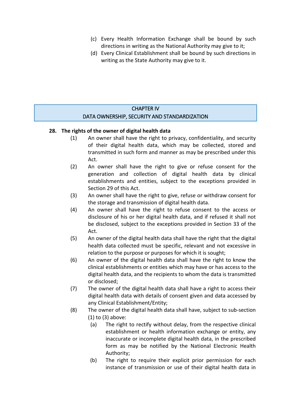- (c) Every Health Information Exchange shall be bound by such directions in writing as the National Authority may give to it;
- (d) Every Clinical Establishment shall be bound by such directions in writing as the State Authority may give to it.

# CHAPTER IV DATA OWNERSHIP, SECURITY AND STANDARDIZATION

#### **28. The rights of the owner of digital health data**

- (1) An owner shall have the right to privacy, confidentiality, and security of their digital health data, which may be collected, stored and transmitted in such form and manner as may be prescribed under this Act.
- (2) An owner shall have the right to give or refuse consent for the generation and collection of digital health data by clinical establishments and entities, subject to the exceptions provided in Section 29 of this Act.
- (3) An owner shall have the right to give, refuse or withdraw consent for the storage and transmission of digital health data.
- (4) An owner shall have the right to refuse consent to the access or disclosure of his or her digital health data, and if refused it shall not be disclosed, subject to the exceptions provided in Section 33 of the Act.
- (5) An owner of the digital health data shall have the right that the digital health data collected must be specific, relevant and not excessive in relation to the purpose or purposes for which it is sought;
- (6) An owner of the digital health data shall have the right to know the clinical establishments or entities which may have or has access to the digital health data, and the recipients to whom the data is transmitted or disclosed;
- (7) The owner of the digital health data shall have a right to access their digital health data with details of consent given and data accessed by any Clinical Establishment/Entity;
- (8) The owner of the digital health data shall have, subject to sub-section (1) to (3) above:
	- (a) The right to rectify without delay, from the respective clinical establishment or health information exchange or entity, any inaccurate or incomplete digital health data, in the prescribed form as may be notified by the National Electronic Health Authority;
	- (b) The right to require their explicit prior permission for each instance of transmission or use of their digital health data in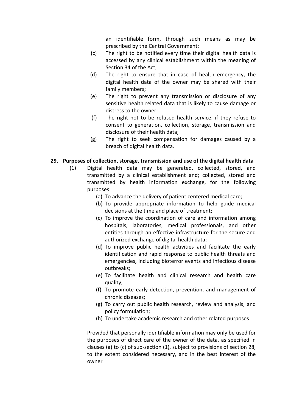an identifiable form, through such means as may be prescribed by the Central Government;

- (c) The right to be notified every time their digital health data is accessed by any clinical establishment within the meaning of Section 34 of the Act;
- (d) The right to ensure that in case of health emergency, the digital health data of the owner may be shared with their family members;
- (e) The right to prevent any transmission or disclosure of any sensitive health related data that is likely to cause damage or distress to the owner;
- (f) The right not to be refused health service, if they refuse to consent to generation, collection, storage, transmission and disclosure of their health data;
- (g) The right to seek compensation for damages caused by a breach of digital health data.

#### **29. Purposes of collection, storage, transmission and use of the digital health data**

- (1) Digital health data may be generated, collected, stored, and transmitted by a clinical establishment and; collected, stored and transmitted by health information exchange, for the following purposes:
	- (a) To advance the delivery of patient centered medical care;
	- (b) To provide appropriate information to help guide medical decisions at the time and place of treatment;
	- (c) To improve the coordination of care and information among hospitals, laboratories, medical professionals, and other entities through an effective infrastructure for the secure and authorized exchange of digital health data;
	- (d) To improve public health activities and facilitate the early identification and rapid response to public health threats and emergencies, including bioterror events and infectious disease outbreaks;
	- (e) To facilitate health and clinical research and health care quality;
	- (f) To promote early detection, prevention, and management of chronic diseases;
	- (g) To carry out public health research, review and analysis, and policy formulation;
	- (h) To undertake academic research and other related purposes

Provided that personally identifiable information may only be used for the purposes of direct care of the owner of the data, as specified in clauses (a) to (c) of sub-section (1), subject to provisions of section 28, to the extent considered necessary, and in the best interest of the owner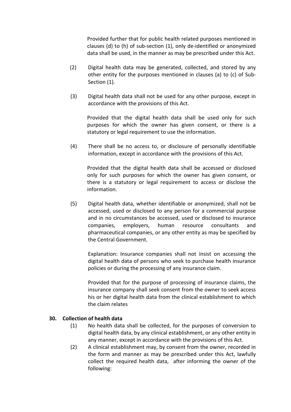Provided further that for public health related purposes mentioned in clauses (d) to (h) of sub-section (1), only de-identified or anonymized data shall be used, in the manner as may be prescribed under this Act.

- (2) Digital health data may be generated, collected, and stored by any other entity for the purposes mentioned in clauses (a) to (c) of Sub-Section (1).
- (3) Digital health data shall not be used for any other purpose, except in accordance with the provisions of this Act.

Provided that the digital health data shall be used only for such purposes for which the owner has given consent, or there is a statutory or legal requirement to use the information.

(4) There shall be no access to, or disclosure of personally identifiable information, except in accordance with the provisions of this Act.

Provided that the digital health data shall be accessed or disclosed only for such purposes for which the owner has given consent, or there is a statutory or legal requirement to access or disclose the information.

(5) Digital health data, whether identifiable or anonymized, shall not be accessed, used or disclosed to any person for a commercial purpose and in no circumstances be accessed, used or disclosed to insurance companies, employers, human resource consultants and pharmaceutical companies, or any other entity as may be specified by the Central Government.

Explanation: Insurance companies shall not insist on accessing the digital health data of persons who seek to purchase health insurance policies or during the processing of any insurance claim.

Provided that for the purpose of processing of insurance claims, the insurance company shall seek consent from the owner to seek access his or her digital health data from the clinical establishment to which the claim relates

#### **30. Collection of health data**

- (1) No health data shall be collected, for the purposes of conversion to digital health data, by any clinical establishment, or any other entity in any manner, except in accordance with the provisions of this Act.
- (2) A clinical establishment may, by consent from the owner, recorded in the form and manner as may be prescribed under this Act, lawfully collect the required health data, after informing the owner of the following: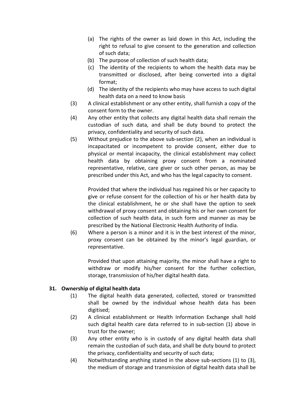- (a) The rights of the owner as laid down in this Act, including the right to refusal to give consent to the generation and collection of such data;
- (b) The purpose of collection of such health data;
- (c) The identity of the recipients to whom the health data may be transmitted or disclosed, after being converted into a digital format;
- (d) The identity of the recipients who may have access to such digital health data on a need to know basis
- (3) A clinical establishment or any other entity, shall furnish a copy of the consent form to the owner.
- (4) Any other entity that collects any digital health data shall remain the custodian of such data, and shall be duty bound to protect the privacy, confidentiality and security of such data.
- (5) Without prejudice to the above sub-section (2), when an individual is incapacitated or incompetent to provide consent, either due to physical or mental incapacity, the clinical establishment may collect health data by obtaining proxy consent from a nominated representative, relative, care giver or such other person, as may be prescribed under this Act, and who has the legal capacity to consent.

Provided that where the individual has regained his or her capacity to give or refuse consent for the collection of his or her health data by the clinical establishment, he or she shall have the option to seek withdrawal of proxy consent and obtaining his or her own consent for collection of such health data, in such form and manner as may be prescribed by the National Electronic Health Authority of India.

(6) Where a person is a minor and it is in the best interest of the minor, proxy consent can be obtained by the minor's legal guardian, or representative.

Provided that upon attaining majority, the minor shall have a right to withdraw or modify his/her consent for the further collection, storage, transmission of his/her digital health data.

#### **31. Ownership of digital health data**

- (1) The digital health data generated, collected, stored or transmitted shall be owned by the individual whose health data has been digitised;
- (2) A clinical establishment or Health Information Exchange shall hold such digital health care data referred to in sub-section (1) above in trust for the owner;
- (3) Any other entity who is in custody of any digital health data shall remain the custodian of such data, and shall be duty bound to protect the privacy, confidentiality and security of such data;
- (4) Notwithstanding anything stated in the above sub-sections (1) to (3), the medium of storage and transmission of digital health data shall be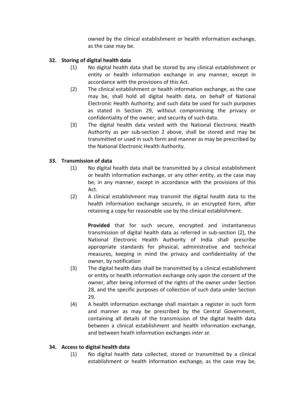owned by the clinical establishment or health information exchange, as the case may be.

# **32. Storing of digital health data**

- (1) No digital health data shall be stored by any clinical establishment or entity or health information exchange in any manner, except in accordance with the provisions of this Act.
- (2) The clinical establishment or health information exchange, as the case may be, shall hold all digital health data, on behalf of National Electronic Health Authority; and such data be used for such purposes as stated in Section 29, without compromising the privacy or confidentiality of the owner, and security of such data.
- (3) The digital health data vested with the National Electronic Health Authority as per sub-section 2 above, shall be stored and may be transmitted or used in such form and manner as may be prescribed by the National Electronic Health Authority.

# **33. Transmission of data**

- (1) No digital health data shall be transmitted by a clinical establishment or health information exchange, or any other entity, as the case may be, in any manner, except in accordance with the provisions of this Act.
- (2) A clinical establishment may transmit the digital health data to the health information exchange securely, in an encrypted form, after retaining a copy for reasonable use by the clinical establishment.

**Provided** that for such secure, encrypted and instantaneous transmission of digital health data as referred in sub-section (2), the National Electronic Health Authority of India shall prescribe appropriate standards for physical, administrative and technical measures, keeping in mind the privacy and confidentiality of the owner, by notification

- (3) The digital health data shall be transmitted by a clinical establishment or entity or health information exchange only upon the consent of the owner, after being informed of the rights of the owner under Section 28, and the specific purposes of collection of such data under Section 29.
- (4) A health information exchange shall maintain a register in such form and manner as may be prescribed by the Central Government, containing all details of the transmission of the digital health data between a clinical establishment and health information exchange, and between heath information exchanges *inter se*.

#### **34. Access to digital health data**

(1) No digital health data collected, stored or transmitted by a clinical establishment or health information exchange, as the case may be,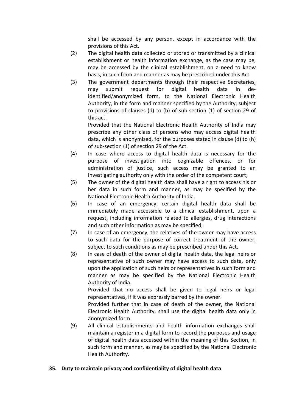shall be accessed by any person, except in accordance with the provisions of this Act.

- (2) The digital health data collected or stored or transmitted by a clinical establishment or health information exchange, as the case may be, may be accessed by the clinical establishment, on a need to know basis, in such form and manner as may be prescribed under this Act.
- (3) The government departments through their respective Secretaries, may submit request for digital health data in deidentified/anonymized form, to the National Electronic Health Authority, in the form and manner specified by the Authority, subject to provisions of clauses (d) to (h) of sub-section (1) of section 29 of this act.

Provided that the National Electronic Health Authority of India may prescribe any other class of persons who may access digital health data, which is anonymized, for the purposes stated in clause (d) to (h) of sub-section (1) of section 29 of the Act.

- (4) In case where access to digital health data is necessary for the purpose of investigation into cognizable offences, or for administration of justice, such access may be granted to an investigating authority only with the order of the competent court;
- (5) The owner of the digital health data shall have a right to access his or her data in such form and manner, as may be specified by the National Electronic Health Authority of India.
- (6) In case of an emergency, certain digital health data shall be immediately made accessible to a clinical establishment, upon a request, including information related to allergies, drug interactions and such other information as may be specified;
- (7) In case of an emergency, the relatives of the owner may have access to such data for the purpose of correct treatment of the owner, subject to such conditions as may be prescribed under this Act.
- (8) In case of death of the owner of digital health data, the legal heirs or representative of such owner may have access to such data, only upon the application of such heirs or representatives in such form and manner as may be specified by the National Electronic Health Authority of India.

Provided that no access shall be given to legal heirs or legal representatives, if it was expressly barred by the owner.

Provided further that in case of death of the owner, the National Electronic Health Authority, shall use the digital health data only in anonymized form.

(9) All clinical establishments and health information exchanges shall maintain a register in a digital form to record the purposes and usage of digital health data accessed within the meaning of this Section, in such form and manner, as may be specified by the National Electronic Health Authority.

#### **35. Duty to maintain privacy and confidentiality of digital health data**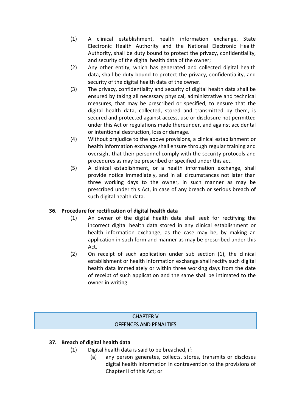- (1) A clinical establishment, health information exchange, State Electronic Health Authority and the National Electronic Health Authority, shall be duty bound to protect the privacy, confidentiality, and security of the digital health data of the owner;
- (2) Any other entity, which has generated and collected digital health data, shall be duty bound to protect the privacy, confidentiality, and security of the digital health data of the owner.
- (3) The privacy, confidentiality and security of digital health data shall be ensured by taking all necessary physical, administrative and technical measures, that may be prescribed or specified, to ensure that the digital health data, collected, stored and transmitted by them, is secured and protected against access, use or disclosure not permitted under this Act or regulations made thereunder, and against accidental or intentional destruction, loss or damage.
- (4) Without prejudice to the above provisions, a clinical establishment or health information exchange shall ensure through regular training and oversight that their personnel comply with the security protocols and procedures as may be prescribed or specified under this act.
- (5) A clinical establishment, or a health information exchange, shall provide notice immediately, and in all circumstances not later than three working days to the owner, in such manner as may be prescribed under this Act, in case of any breach or serious breach of such digital health data.

#### **36. Procedure for rectification of digital health data**

- (1) An owner of the digital health data shall seek for rectifying the incorrect digital health data stored in any clinical establishment or health information exchange, as the case may be, by making an application in such form and manner as may be prescribed under this Act.
- (2) On receipt of such application under sub section (1), the clinical establishment or health information exchange shall rectify such digital health data immediately or within three working days from the date of receipt of such application and the same shall be intimated to the owner in writing.

# CHAPTER V OFFENCES AND PENALTIES

#### **37. Breach of digital health data**

- (1) Digital health data is said to be breached, if:
	- (a) any person generates, collects, stores, transmits or discloses digital health information in contravention to the provisions of Chapter II of this Act; or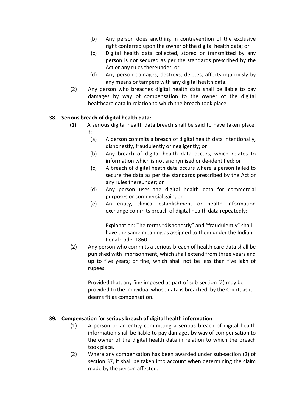- (b) Any person does anything in contravention of the exclusive right conferred upon the owner of the digital health data; or
- (c) Digital health data collected, stored or transmitted by any person is not secured as per the standards prescribed by the Act or any rules thereunder; or
- (d) Any person damages, destroys, deletes, affects injuriously by any means or tampers with any digital health data.
- (2) Any person who breaches digital health data shall be liable to pay damages by way of compensation to the owner of the digital healthcare data in relation to which the breach took place.

#### **38. Serious breach of digital health data:**

- (1) A serious digital health data breach shall be said to have taken place, if:
	- (a) A person commits a breach of digital health data intentionally, dishonestly, fraudulently or negligently; or
	- (b) Any breach of digital health data occurs, which relates to information which is not anonymised or de-identified; or
	- (c) A breach of digital heath data occurs where a person failed to secure the data as per the standards prescribed by the Act or any rules thereunder; or
	- (d) Any person uses the digital health data for commercial purposes or commercial gain; or
	- (e) An entity, clinical establishment or health information exchange commits breach of digital health data repeatedly;

Explanation: The terms "dishonestly" and "fraudulently" shall have the same meaning as assigned to them under the Indian Penal Code, 1860

(2) Any person who commits a serious breach of health care data shall be punished with imprisonment, which shall extend from three years and up to five years; or fine, which shall not be less than five lakh of rupees.

Provided that, any fine imposed as part of sub-section (2) may be provided to the individual whose data is breached, by the Court, as it deems fit as compensation.

#### **39. Compensation for serious breach of digital health information**

- (1) A person or an entity committing a serious breach of digital health information shall be liable to pay damages by way of compensation to the owner of the digital health data in relation to which the breach took place.
- (2) Where any compensation has been awarded under sub-section (2) of section 37, it shall be taken into account when determining the claim made by the person affected.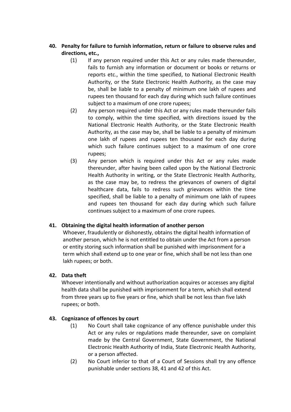# **40. Penalty for failure to furnish information, return or failure to observe rules and directions, etc.,**

- (1) If any person required under this Act or any rules made thereunder, fails to furnish any information or document or books or returns or reports etc., within the time specified, to National Electronic Health Authority, or the State Electronic Health Authority, as the case may be, shall be liable to a penalty of minimum one lakh of rupees and rupees ten thousand for each day during which such failure continues subject to a maximum of one crore rupees;
- (2) Any person required under this Act or any rules made thereunder fails to comply, within the time specified, with directions issued by the National Electronic Health Authority, or the State Electronic Health Authority, as the case may be, shall be liable to a penalty of minimum one lakh of rupees and rupees ten thousand for each day during which such failure continues subject to a maximum of one crore rupees;
- (3) Any person which is required under this Act or any rules made thereunder, after having been called upon by the National Electronic Health Authority in writing, or the State Electronic Health Authority, as the case may be, to redress the grievances of owners of digital healthcare data, fails to redress such grievances within the time specified, shall be liable to a penalty of minimum one lakh of rupees and rupees ten thousand for each day during which such failure continues subject to a maximum of one crore rupees.

#### **41. Obtaining the digital health information of another person**

Whoever, fraudulently or dishonestly, obtains the digital health information of another person, which he is not entitled to obtain under the Act from a person or entity storing such information shall be punished with imprisonment for a term which shall extend up to one year or fine, which shall be not less than one lakh rupees; or both.

#### **42. Data theft**

Whoever intentionally and without authorization acquires or accesses any digital health data shall be punished with imprisonment for a term, which shall extend from three years up to five years or fine, which shall be not less than five lakh rupees; or both.

#### **43. Cognizance of offences by court**

- (1) No Court shall take cognizance of any offence punishable under this Act or any rules or regulations made thereunder, save on complaint made by the Central Government, State Government, the National Electronic Health Authority of India, State Electronic Health Authority, or a person affected.
- (2) No Court inferior to that of a Court of Sessions shall try any offence punishable under sections 38, 41 and 42 of this Act.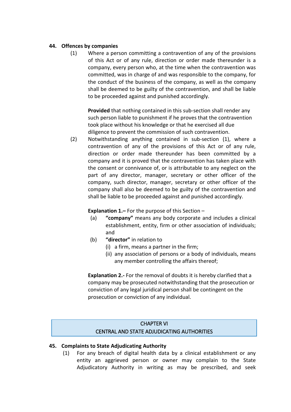#### **44. Offences by companies**

(1) Where a person committing a contravention of any of the provisions of this Act or of any rule, direction or order made thereunder is a company, every person who, at the time when the contravention was committed, was in charge of and was responsible to the company, for the conduct of the business of the company, as well as the company shall be deemed to be guilty of the contravention, and shall be liable to be proceeded against and punished accordingly.

**Provided** that nothing contained in this sub-section shall render any such person liable to punishment if he proves that the contravention took place without his knowledge or that he exercised all due diligence to prevent the commission of such contravention.

(2) Notwithstanding anything contained in sub-section (1), where a contravention of any of the provisions of this Act or of any rule, direction or order made thereunder has been committed by a company and it is proved that the contravention has taken place with the consent or connivance of, or is attributable to any neglect on the part of any director, manager, secretary or other officer of the company, such director, manager, secretary or other officer of the company shall also be deemed to be guilty of the contravention and shall be liable to be proceeded against and punished accordingly.

**Explanation 1.–** For the purpose of this Section –

- (a) **"company"** means any body corporate and includes a clinical establishment, entity, firm or other association of individuals; and
- (b) **"director"** in relation to
	- (i) a firm, means a partner in the firm;
	- (ii) any association of persons or a body of individuals, means any member controlling the affairs thereof;

**Explanation 2.-** For the removal of doubts it is hereby clarified that a company may be prosecuted notwithstanding that the prosecution or conviction of any legal juridical person shall be contingent on the prosecution or conviction of any individual.

# CHAPTER VI CENTRAL AND STATE ADJUDICATING AUTHORITIES

#### **45. Complaints to State Adjudicating Authority**

(1) For any breach of digital health data by a clinical establishment or any entity an aggrieved person or owner may complain to the State Adjudicatory Authority in writing as may be prescribed, and seek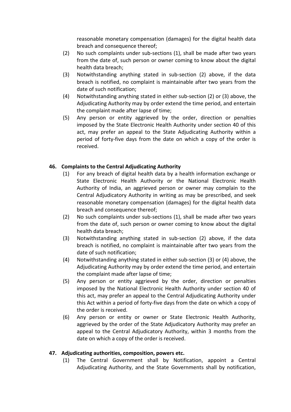reasonable monetary compensation (damages) for the digital health data breach and consequence thereof;

- (2) No such complaints under sub-sections (1), shall be made after two years from the date of, such person or owner coming to know about the digital health data breach;
- (3) Notwithstanding anything stated in sub-section (2) above, if the data breach is notified, no complaint is maintainable after two years from the date of such notification;
- (4) Notwithstanding anything stated in either sub-section (2) or (3) above, the Adjudicating Authority may by order extend the time period, and entertain the complaint made after lapse of time;
- (5) Any person or entity aggrieved by the order, direction or penalties imposed by the State Electronic Health Authority under section 40 of this act, may prefer an appeal to the State Adjudicating Authority within a period of forty-five days from the date on which a copy of the order is received.

#### **46. Complaints to the Central Adjudicating Authority**

- (1) For any breach of digital health data by a health information exchange or State Electronic Health Authority or the National Electronic Health Authority of India, an aggrieved person or owner may complain to the Central Adjudicatory Authority in writing as may be prescribed, and seek reasonable monetary compensation (damages) for the digital health data breach and consequence thereof;
- (2) No such complaints under sub-sections (1), shall be made after two years from the date of, such person or owner coming to know about the digital health data breach;
- (3) Notwithstanding anything stated in sub-section (2) above, if the data breach is notified, no complaint is maintainable after two years from the date of such notification;
- (4) Notwithstanding anything stated in either sub-section (3) or (4) above, the Adjudicating Authority may by order extend the time period, and entertain the complaint made after lapse of time;
- (5) Any person or entity aggrieved by the order, direction or penalties imposed by the National Electronic Health Authority under section 40 of this act, may prefer an appeal to the Central Adjudicating Authority under this Act within a period of forty-five days from the date on which a copy of the order is received.
- (6) Any person or entity or owner or State Electronic Health Authority, aggrieved by the order of the State Adjudicatory Authority may prefer an appeal to the Central Adjudicatory Authority, within 3 months from the date on which a copy of the order is received.

#### **47. Adjudicating authorities, composition, powers etc.**

(1) The Central Government shall by Notification, appoint a Central Adjudicating Authority, and the State Governments shall by notification,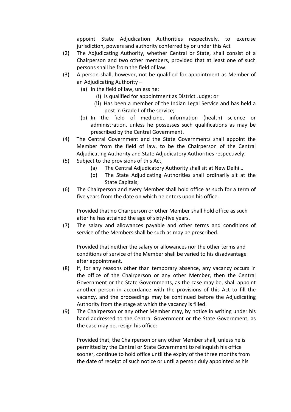appoint State Adjudication Authorities respectively, to exercise jurisdiction, powers and authority conferred by or under this Act

- (2) The Adjudicating Authority, whether Central or State, shall consist of a Chairperson and two other members, provided that at least one of such persons shall be from the field of law.
- (3) A person shall, however, not be qualified for appointment as Member of an Adjudicating Authority –
	- (a) In the field of law, unless he:
		- (i) Is qualified for appointment as District Judge; or
		- (ii) Has been a member of the Indian Legal Service and has held a post in Grade I of the service;
	- (b) In the field of medicine, information (health) science or administration, unless he possesses such qualifications as may be prescribed by the Central Government.
- (4) The Central Government and the State Governments shall appoint the Member from the field of law, to be the Chairperson of the Central Adjudicating Authority and State Adjudicatory Authorities respectively.
- (5) Subject to the provisions of this Act,
	- (a) The Central Adjudicatory Authority shall sit at New Delhi…
	- (b) The State Adjudicating Authorities shall ordinarily sit at the State Capitals;
- (6) The Chairperson and every Member shall hold office as such for a term of five years from the date on which he enters upon his office.

Provided that no Chairperson or other Member shall hold office as such after he has attained the age of sixty-five years.

(7) The salary and allowances payable and other terms and conditions of service of the Members shall be such as may be prescribed.

Provided that neither the salary or allowances nor the other terms and conditions of service of the Member shall be varied to his disadvantage after appointment.

- (8) If, for any reasons other than temporary absence, any vacancy occurs in the office of the Chairperson or any other Member, then the Central Government or the State Governments, as the case may be, shall appoint another person in accordance with the provisions of this Act to fill the vacancy, and the proceedings may be continued before the Adjudicating Authority from the stage at which the vacancy is filled.
- (9) The Chairperson or any other Member may, by notice in writing under his hand addressed to the Central Government or the State Government, as the case may be, resign his office:

Provided that, the Chairperson or any other Member shall, unless he is permitted by the Central or State Government to relinquish his office sooner, continue to hold office until the expiry of the three months from the date of receipt of such notice or until a person duly appointed as his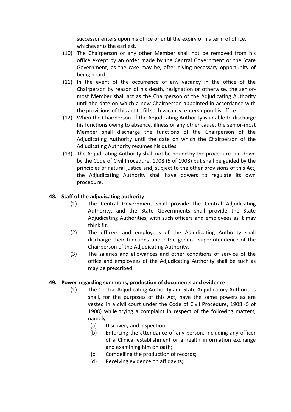successor enters upon his office or until the expiry of his term of office, whichever is the earliest.

- (10) The Chairperson or any other Member shall not be removed from his office except by an order made by the Central Government or the State Government, as the case may be, after giving necessary opportunity of being heard.
- (11) In the event of the occurrence of any vacancy in the office of the Chairperson by reason of his death, resignation or otherwise, the seniormost Member shall act as the Chairperson of the Adjudicating Authority until the date on which a new Chairperson appointed in accordance with the provisions of this act to fill such vacancy, enters upon his office.
- (12) When the Chairperson of the Adjudicating Authority is unable to discharge his functions owing to absence, illness or any other cause, the senior-most Member shall discharge the functions of the Chairperson of the Adjudicating Authority until the date on which the Chairperson of the Adjudicating Authority resumes his duties.
- (13) The Adjudicating Authority shall not be bound by the procedure laid down by the Code of Civil Procedure, 1908 (5 of 1908) but shall be guided by the principles of natural justice and, subject to the other provisions of this Act, the Adjudicating Authority shall have powers to regulate its own procedure.

#### **48. Staff of the adjudicating authority**

- (1) The Central Government shall provide the Central Adjudicating Authority, and the State Governments shall provide the State Adjudicating Authorities, with such officers and employees as it may think fit.
- (2) The officers and employees of the Adjudicating Authority shall discharge their functions under the general superintendence of the Chairperson of the Adjudicating Authority.
- (3) The salaries and allowances and other conditions of service of the office and employees of the Adjudicating Authority shall be such as may be prescribed.

#### **49. Power regarding summons, production of documents and evidence**

- (1) The Central Adjudicating Authority and State Adjudicatory Authorities shall, for the purposes of this Act, have the same powers as are vested in a civil court under the Code of Civil Procedure, 1908 (5 of 1908) while trying a complaint in respect of the following matters, namely
	- (a) Discovery and inspection;
	- (b) Enforcing the attendance of any person, including any officer of a Clinical establishment or a health information exchange and examining him on oath;
	- (c) Compelling the production of records;
	- (d) Receiving evidence on affidavits;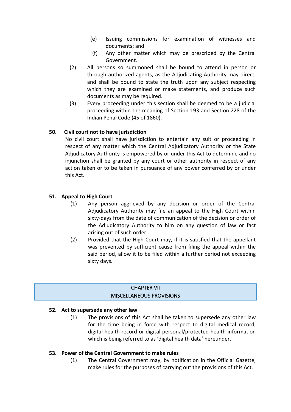- (e) Issuing commissions for examination of witnesses and documents; and
- (f) Any other matter which may be prescribed by the Central Government.
- (2) All persons so summoned shall be bound to attend in person or through authorized agents, as the Adjudicating Authority may direct, and shall be bound to state the truth upon any subject respecting which they are examined or make statements, and produce such documents as may be required.
- (3) Every proceeding under this section shall be deemed to be a judicial proceeding within the meaning of Section 193 and Section 228 of the Indian Penal Code (45 of 1860).

# **50. Civil court not to have jurisdiction**

No civil court shall have jurisdiction to entertain any suit or proceeding in respect of any matter which the Central Adjudicatory Authority or the State Adjudicatory Authority is empowered by or under this Act to determine and no injunction shall be granted by any court or other authority in respect of any action taken or to be taken in pursuance of any power conferred by or under this Act.

# **51. Appeal to High Court**

- (1) Any person aggrieved by any decision or order of the Central Adjudicatory Authority may file an appeal to the High Court within sixty-days from the date of communication of the decision or order of the Adjudicatory Authority to him on any question of law or fact arising out of such order.
- (2) Provided that the High Court may, if it is satisfied that the appellant was prevented by sufficient cause from filing the appeal within the said period, allow it to be filed within a further period not exceeding sixty days.

# CHAPTER VII MISCELLANEOUS PROVISIONS

#### **52. Act to supersede any other law**

(1) The provisions of this Act shall be taken to supersede any other law for the time being in force with respect to digital medical record, digital health record or digital personal/protected health information which is being referred to as 'digital health data' hereunder.

#### **53. Power of the Central Government to make rules**

(1) The Central Government may, by notification in the Official Gazette, make rules for the purposes of carrying out the provisions of this Act.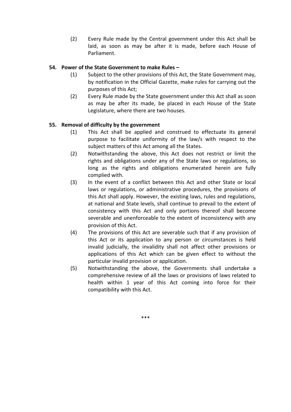(2) Every Rule made by the Central government under this Act shall be laid, as soon as may be after it is made, before each House of Parliament.

#### **54. Power of the State Government to make Rules –**

- (1) Subject to the other provisions of this Act, the State Government may, by notification in the Official Gazette, make rules for carrying out the purposes of this Act;
- (2) Every Rule made by the State government under this Act shall as soon as may be after its made, be placed in each House of the State Legislature, where there are two houses.

#### **55. Removal of difficulty by the government**

- (1) This Act shall be applied and construed to effectuate its general purpose to facilitate uniformity of the law/s with respect to the subject matters of this Act among all the States.
- (2) Notwithstanding the above, this Act does not restrict or limit the rights and obligations under any of the State laws or regulations, so long as the rights and obligations enumerated herein are fully complied with.
- (3) In the event of a conflict between this Act and other State or local laws or regulations, or administrative procedures, the provisions of this Act shall apply. However, the existing laws, rules and regulations, at national and State levels, shall continue to prevail to the extent of consistency with this Act and only portions thereof shall become severable and unenforceable to the extent of inconsistency with any provision of this Act.
- (4) The provisions of this Act are severable such that if any provision of this Act or its application to any person or circumstances is held invalid judicially, the invalidity shall not affect other provisions or applications of this Act which can be given effect to without the particular invalid provision or application.
- (5) Notwithstanding the above, the Governments shall undertake a comprehensive review of all the laws or provisions of laws related to health within 1 year of this Act coming into force for their compatibility with this Act.

\*\*\*